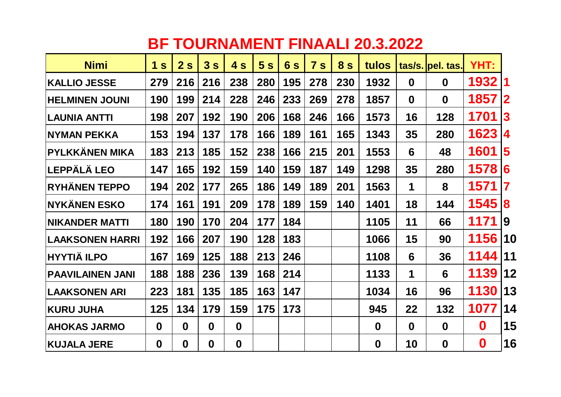## **BF TOURNAMENT FINAALI 20.3.2022**

| <b>Nimi</b>             | 1 <sub>s</sub> | 2s               | 3s               | 4 s         | 5s  | 6s  | 7s  | 8 <sub>s</sub> | tulos    |             | tas/s. pel. tas. | YHT:             |                         |
|-------------------------|----------------|------------------|------------------|-------------|-----|-----|-----|----------------|----------|-------------|------------------|------------------|-------------------------|
| <b>KALLIO JESSE</b>     | 279            | 216              | 216              | 238         | 280 | 195 | 278 | 230            | 1932     | $\mathbf 0$ | $\mathbf 0$      | 1932             | $\blacksquare$          |
| <b>HELMINEN JOUNI</b>   | 190            | 199              | 214              | 228         | 246 | 233 | 269 | 278            | 1857     | $\mathbf 0$ | $\mathbf 0$      | 1857             | $\mathbf{2}$            |
| <b>LAUNIA ANTTI</b>     | 198            | 207              | 192              | 190         | 206 | 168 | 246 | 166            | 1573     | 16          | 128              | 1701             | $\bf{3}$                |
| <b>NYMAN PEKKA</b>      | 153            | 194              | 137              | 178         | 166 | 189 | 161 | 165            | 1343     | 35          | 280              | 1623             | 4                       |
| PYLKKÄNEN MIKA          | 183            | 213              | 185              | 152         | 238 | 166 | 215 | 201            | 1553     | 6           | 48               | 1601             | $\overline{\mathbf{5}}$ |
| <b> LEPPÄLÄ LEO</b>     | 147            | 165              | 192              | 159         | 140 | 159 | 187 | 149            | 1298     | 35          | 280              | 1578             | 6                       |
| <b>RYHÄNEN TEPPO</b>    | 194            | 202              | 177              | 265         | 186 | 149 | 189 | 201            | 1563     | 1           | 8                | 1571             | 7                       |
| <b>NYKÄNEN ESKO</b>     | 174            | 161              | 191              | 209         | 178 | 189 | 159 | 140            | 1401     | 18          | 144              | 1545             | 8                       |
| <b>NIKANDER MATTI</b>   | 180            | 190              | 170              | 204         | 177 | 184 |     |                | 1105     | 11          | 66               | 1171             | 19                      |
| <b>LAAKSONEN HARRI</b>  | 192            | 166              | 207              | 190         | 128 | 183 |     |                | 1066     | 15          | 90               | 1156             | 10                      |
| <b>HYYTIÄ ILPO</b>      | 167            | 169              | 125              | 188         | 213 | 246 |     |                | 1108     | 6           | 36               | 1144             | 11                      |
| <b>PAAVILAINEN JANI</b> | 188            | 188              | 236              | 139         | 168 | 214 |     |                | 1133     | 1           | $6\phantom{1}6$  | 1139             | 12                      |
| <b>LAAKSONEN ARI</b>    | 223            | 181              | 135              | 185         | 163 | 147 |     |                | 1034     | 16          | 96               | 1130             | 13                      |
| <b>KURU JUHA</b>        | 125            | 134              | 179              | 159         | 175 | 173 |     |                | 945      | 22          | 132              | 1077             | 14                      |
| <b>AHOKAS JARMO</b>     | $\mathbf 0$    | $\boldsymbol{0}$ | $\boldsymbol{0}$ | $\mathbf 0$ |     |     |     |                | $\bf{0}$ | $\mathbf 0$ | $\boldsymbol{0}$ | $\boldsymbol{0}$ | 15                      |
| <b>KUJALA JERE</b>      | $\mathbf 0$    | 0                | $\mathbf 0$      | $\mathbf 0$ |     |     |     |                | $\bf{0}$ | 10          | $\boldsymbol{0}$ | $\boldsymbol{0}$ | 16                      |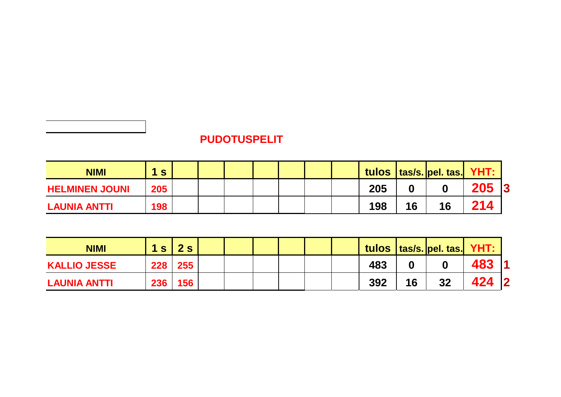## **PUDOTUSPELIT**

| <b>NIMI</b>           | S   |  |  |  |     |    | tulos   tas/s.  pel. tas   YHT: |     |           |
|-----------------------|-----|--|--|--|-----|----|---------------------------------|-----|-----------|
| <b>HELMINEN JOUNI</b> | 205 |  |  |  | 205 |    |                                 | 205 | $\vert 3$ |
| LAUNIA ANTTI          | 198 |  |  |  | 198 | 16 | 16                              | 214 |           |

| <b>NIMI</b>         | 1 <sub>s</sub> | 2s      |  |  |  |     |    | tulos   tas/s.  pel. tas.  YHT: |     |                         |
|---------------------|----------------|---------|--|--|--|-----|----|---------------------------------|-----|-------------------------|
| <b>KALLIO JESSE</b> |                | 228 255 |  |  |  | 483 |    |                                 | 483 |                         |
| <b>LAUNIA ANTTI</b> | <b>236</b>     | 156     |  |  |  | 392 | 16 | 32                              |     | $\overline{\mathbf{2}}$ |